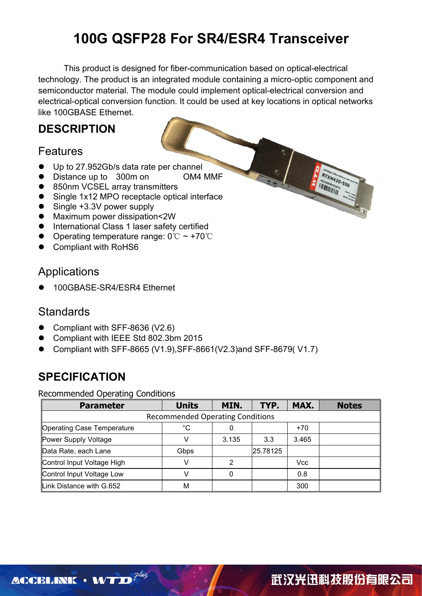# **100G QSFP28 For SR4/ESR4 Transceiver**

This product is designed for fiber-communication based on optical-electrical technology. The product is an integrated module containing a micro-optic component and semiconductor material. The module could implement optical-electrical conversion and electrical-optical conversion function. It could be used at key locations in optical networks like 100GBASE Ethernet.

## **DESCRIPTION**

### Features

- Up to 27.952Gb/s data rate per channel
- Distance up to 300m on OM4 MMF<br>● 850nm VCSEL array transmitters
- 850nm VCSEL array transmitters
- Single 1x12 MPO receptacle optical interface
- Single +3.3V power supply
- Maximum power dissipation<2W
- **•** International Class 1 laser safety certified
- $\bullet$  Operating temperature range: 0℃ ~ +70℃
- Compliant with RoHS6

### **Applications**

100GBASE-SR4/ESR4 Ethernet

### **Standards**

- Compliant with SFF-8636 (V2.6)
- Compliant with IEEE Std 802.3bm 2015
- Compliant with SFF-8665 (V1.9),SFF-8661(V2.3)and SFF-8679( V1.7)

## **SPECIFICATION**

#### Recommended Operating Conditions

| <b>Parameter</b>                        | <b>Units</b> | MIN.  | TYP.     | MAX.       | <b>Notes</b> |  |  |  |  |
|-----------------------------------------|--------------|-------|----------|------------|--------------|--|--|--|--|
| <b>Recommended Operating Conditions</b> |              |       |          |            |              |  |  |  |  |
| Operating Case Temperature              | $^{\circ}$ C |       |          | $+70$      |              |  |  |  |  |
| Power Supply Voltage                    |              | 3.135 | 3.3      | 3.465      |              |  |  |  |  |
| Data Rate, each Lane                    | Gbps         |       | 25.78125 |            |              |  |  |  |  |
| Control Input Voltage High              |              |       |          | <b>Vcc</b> |              |  |  |  |  |
| Control Input Voltage Low               |              |       |          | 0.8        |              |  |  |  |  |
| Link Distance with G.652                | M            |       |          | 300        |              |  |  |  |  |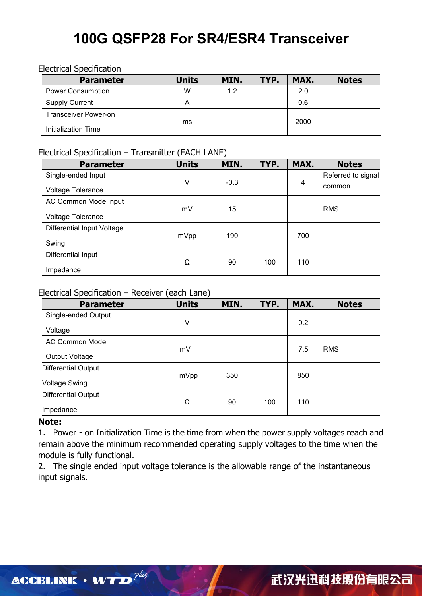## **100G QSFP28 For SR4/ESR4 Transceiver**

#### Electrical Specification

| <b>Parameter</b>                                   | <b>Units</b> | MIN. | TYP. | MAX. | <b>Notes</b> |
|----------------------------------------------------|--------------|------|------|------|--------------|
| <b>Power Consumption</b>                           | W            | 1.2  |      | 2.0  |              |
| <b>Supply Current</b>                              | A            |      |      | 0.6  |              |
| <b>Transceiver Power-on</b><br>Initialization Time | ms           |      |      | 2000 |              |

### Electrical Specification – Transmitter (EACH LANE)

| <b>Parameter</b>                  | <b>Units</b> | MIN.   | TYP. | MAX. | <b>Notes</b>       |
|-----------------------------------|--------------|--------|------|------|--------------------|
| Single-ended Input                |              |        |      |      | Referred to signal |
| <b>Voltage Tolerance</b>          | V            | $-0.3$ |      | 4    | common             |
| AC Common Mode Input              |              |        |      |      |                    |
| Voltage Tolerance                 | mV           | 15     |      |      | <b>RMS</b>         |
| <b>Differential Input Voltage</b> | mVpp         | 190    |      | 700  |                    |
| Swing                             |              |        |      |      |                    |
| Differential Input                |              |        |      |      |                    |
| Impedance                         | Ω            | 90     | 100  | 110  |                    |

### Electrical Specification – Receiver (each Lane)

| <b>Parameter</b>      | <b>Units</b> | MIN. | TYP. | MAX. | <b>Notes</b> |
|-----------------------|--------------|------|------|------|--------------|
| Single-ended Output   |              |      |      |      |              |
| Voltage               | V            |      |      | 0.2  |              |
| <b>AC Common Mode</b> |              |      |      |      | <b>RMS</b>   |
| <b>Output Voltage</b> | mV           |      |      | 7.5  |              |
| Differential Output   |              |      |      |      |              |
| Voltage Swing         | mVpp         | 350  |      | 850  |              |
| Differential Output   | Ω            | 90   |      |      |              |
| ∥Impedance            |              |      | 100  | 110  |              |

#### **Note:**

1. Power - on Initialization Time is the time from when the power supply voltages reach and remain above the minimum recommended operating supply voltages to the time when the module is fully functional.

2. The single ended input voltage tolerance is the allowable range of the instantaneous input signals.